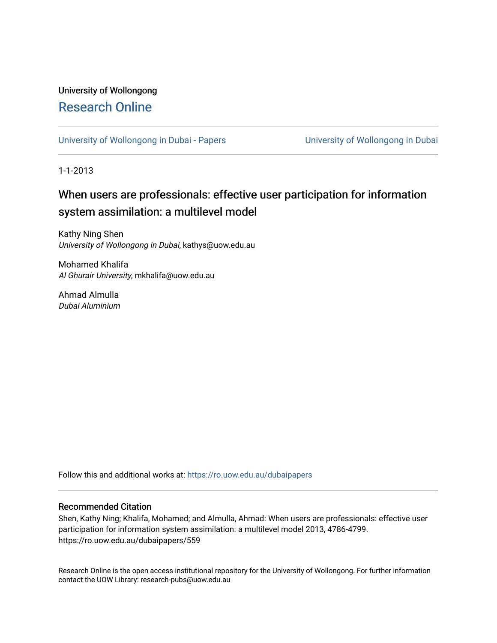# University of Wollongong [Research Online](https://ro.uow.edu.au/)

[University of Wollongong in Dubai - Papers](https://ro.uow.edu.au/dubaipapers) **University of Wollongong in Dubai** 

1-1-2013

# When users are professionals: effective user participation for information system assimilation: a multilevel model

Kathy Ning Shen University of Wollongong in Dubai, kathys@uow.edu.au

Mohamed Khalifa Al Ghurair University, mkhalifa@uow.edu.au

Ahmad Almulla Dubai Aluminium

Follow this and additional works at: [https://ro.uow.edu.au/dubaipapers](https://ro.uow.edu.au/dubaipapers?utm_source=ro.uow.edu.au%2Fdubaipapers%2F559&utm_medium=PDF&utm_campaign=PDFCoverPages) 

#### Recommended Citation

Shen, Kathy Ning; Khalifa, Mohamed; and Almulla, Ahmad: When users are professionals: effective user participation for information system assimilation: a multilevel model 2013, 4786-4799. https://ro.uow.edu.au/dubaipapers/559

Research Online is the open access institutional repository for the University of Wollongong. For further information contact the UOW Library: research-pubs@uow.edu.au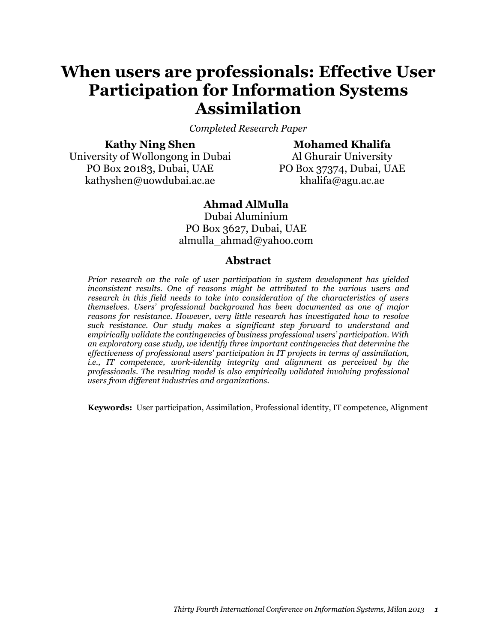# When users are professionals: Effective User Participation for Information Systems Assimilation

Completed Research Paper

### Kathy Ning Shen

Mohamed Khalifa

University of Wollongong in Dubai PO Box 20183, Dubai, UAE kathyshen@uowdubai.ac.ae

Al Ghurair University PO Box 37374, Dubai, UAE khalifa@agu.ac.ae

### Ahmad AlMulla

Dubai Aluminium PO Box 3627, Dubai, UAE almulla\_ahmad@yahoo.com

### Abstract

Prior research on the role of user participation in system development has yielded inconsistent results. One of reasons might be attributed to the various users and research in this field needs to take into consideration of the characteristics of users themselves. Users' professional background has been documented as one of major reasons for resistance. However, very little research has investigated how to resolve such resistance. Our study makes a significant step forward to understand and empirically validate the contingencies of business professional users' participation. With an exploratory case study, we identify three important contingencies that determine the effectiveness of professional users' participation in IT projects in terms of assimilation, i.e., IT competence, work-identity integrity and alignment as perceived by the professionals. The resulting model is also empirically validated involving professional users from different industries and organizations.

Keywords: User participation, Assimilation, Professional identity, IT competence, Alignment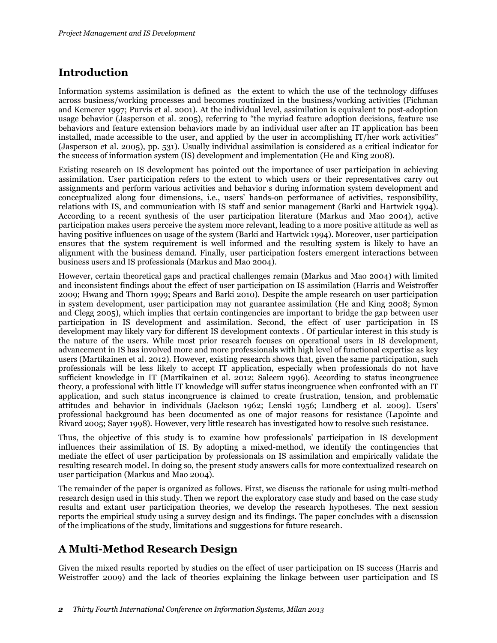### Introduction

Information systems assimilation is defined as the extent to which the use of the technology diffuses across business/working processes and becomes routinized in the business/working activities (Fichman and Kemerer 1997; Purvis et al. 2001). At the individual level, assimilation is equivalent to post-adoption usage behavior (Jasperson et al. 2005), referring to "the myriad feature adoption decisions, feature use behaviors and feature extension behaviors made by an individual user after an IT application has been installed, made accessible to the user, and applied by the user in accomplishing IT/her work activities" (Jasperson et al. 2005), pp. 531). Usually individual assimilation is considered as a critical indicator for the success of information system (IS) development and implementation (He and King 2008).

Existing research on IS development has pointed out the importance of user participation in achieving assimilation. User participation refers to the extent to which users or their representatives carry out assignments and perform various activities and behavior s during information system development and conceptualized along four dimensions, i.e., users' hands-on performance of activities, responsibility, relations with IS, and communication with IS staff and senior management (Barki and Hartwick 1994). According to a recent synthesis of the user participation literature (Markus and Mao 2004), active participation makes users perceive the system more relevant, leading to a more positive attitude as well as having positive influences on usage of the system (Barki and Hartwick 1994). Moreover, user participation ensures that the system requirement is well informed and the resulting system is likely to have an alignment with the business demand. Finally, user participation fosters emergent interactions between business users and IS professionals (Markus and Mao 2004).

However, certain theoretical gaps and practical challenges remain (Markus and Mao 2004) with limited and inconsistent findings about the effect of user participation on IS assimilation (Harris and Weistroffer 2009; Hwang and Thorn 1999; Spears and Barki 2010). Despite the ample research on user participation in system development, user participation may not guarantee assimilation (He and King 2008; Symon and Clegg 2005), which implies that certain contingencies are important to bridge the gap between user participation in IS development and assimilation. Second, the effect of user participation in IS development may likely vary for different IS development contexts . Of particular interest in this study is the nature of the users. While most prior research focuses on operational users in IS development, advancement in IS has involved more and more professionals with high level of functional expertise as key users (Martikainen et al. 2012). However, existing research shows that, given the same participation, such professionals will be less likely to accept IT application, especially when professionals do not have sufficient knowledge in IT (Martikainen et al. 2012; Saleem 1996). According to status incongruence theory, a professional with little IT knowledge will suffer status incongruence when confronted with an IT application, and such status incongruence is claimed to create frustration, tension, and problematic attitudes and behavior in individuals (Jackson 1962; Lenski 1956; Lundberg et al. 2009). Users' professional background has been documented as one of major reasons for resistance (Lapointe and Rivard 2005; Sayer 1998). However, very little research has investigated how to resolve such resistance.

Thus, the objective of this study is to examine how professionals' participation in IS development influences their assimilation of IS. By adopting a mixed-method, we identify the contingencies that mediate the effect of user participation by professionals on IS assimilation and empirically validate the resulting research model. In doing so, the present study answers calls for more contextualized research on user participation (Markus and Mao 2004).

The remainder of the paper is organized as follows. First, we discuss the rationale for using multi-method research design used in this study. Then we report the exploratory case study and based on the case study results and extant user participation theories, we develop the research hypotheses. The next session reports the empirical study using a survey design and its findings. The paper concludes with a discussion of the implications of the study, limitations and suggestions for future research.

### A Multi-Method Research Design

Given the mixed results reported by studies on the effect of user participation on IS success (Harris and Weistroffer 2009) and the lack of theories explaining the linkage between user participation and IS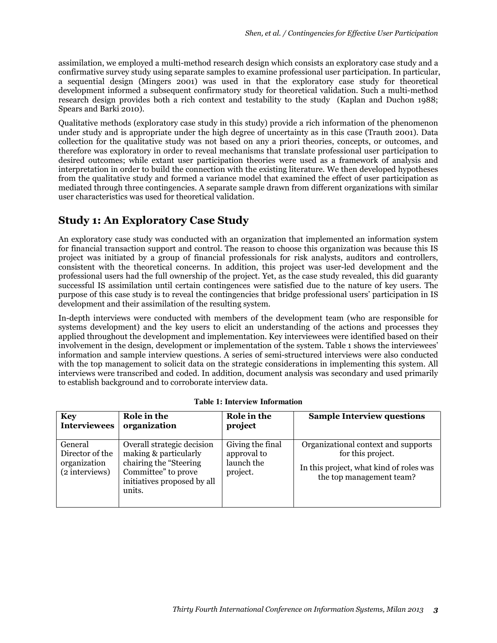assimilation, we employed a multi-method research design which consists an exploratory case study and a confirmative survey study using separate samples to examine professional user participation. In particular, a sequential design (Mingers 2001) was used in that the exploratory case study for theoretical development informed a subsequent confirmatory study for theoretical validation. Such a multi-method research design provides both a rich context and testability to the study (Kaplan and Duchon 1988; Spears and Barki 2010).

Qualitative methods (exploratory case study in this study) provide a rich information of the phenomenon under study and is appropriate under the high degree of uncertainty as in this case (Trauth 2001). Data collection for the qualitative study was not based on any a priori theories, concepts, or outcomes, and therefore was exploratory in order to reveal mechanisms that translate professional user participation to desired outcomes; while extant user participation theories were used as a framework of analysis and interpretation in order to build the connection with the existing literature. We then developed hypotheses from the qualitative study and formed a variance model that examined the effect of user participation as mediated through three contingencies. A separate sample drawn from different organizations with similar user characteristics was used for theoretical validation.

### Study 1: An Exploratory Case Study

An exploratory case study was conducted with an organization that implemented an information system for financial transaction support and control. The reason to choose this organization was because this IS project was initiated by a group of financial professionals for risk analysts, auditors and controllers, consistent with the theoretical concerns. In addition, this project was user-led development and the professional users had the full ownership of the project. Yet, as the case study revealed, this did guaranty successful IS assimilation until certain contingences were satisfied due to the nature of key users. The purpose of this case study is to reveal the contingencies that bridge professional users' participation in IS development and their assimilation of the resulting system.

In-depth interviews were conducted with members of the development team (who are responsible for systems development) and the key users to elicit an understanding of the actions and processes they applied throughout the development and implementation. Key interviewees were identified based on their involvement in the design, development or implementation of the system. Table 1 shows the interviewees' information and sample interview questions. A series of semi-structured interviews were also conducted with the top management to solicit data on the strategic considerations in implementing this system. All interviews were transcribed and coded. In addition, document analysis was secondary and used primarily to establish background and to corroborate interview data.

| <b>Key</b>                                                   | Role in the                                                                                                                                    | Role in the                                               | <b>Sample Interview questions</b>                                                                                               |
|--------------------------------------------------------------|------------------------------------------------------------------------------------------------------------------------------------------------|-----------------------------------------------------------|---------------------------------------------------------------------------------------------------------------------------------|
| <b>Interviewees</b>                                          | organization                                                                                                                                   | project                                                   |                                                                                                                                 |
| General<br>Director of the<br>organization<br>(2 interviews) | Overall strategic decision<br>making & particularly<br>chairing the "Steering"<br>Committee" to prove<br>initiatives proposed by all<br>units. | Giving the final<br>approval to<br>launch the<br>project. | Organizational context and supports<br>for this project.<br>In this project, what kind of roles was<br>the top management team? |

|  |  |  | <b>Table 1: Interview Information</b> |
|--|--|--|---------------------------------------|
|--|--|--|---------------------------------------|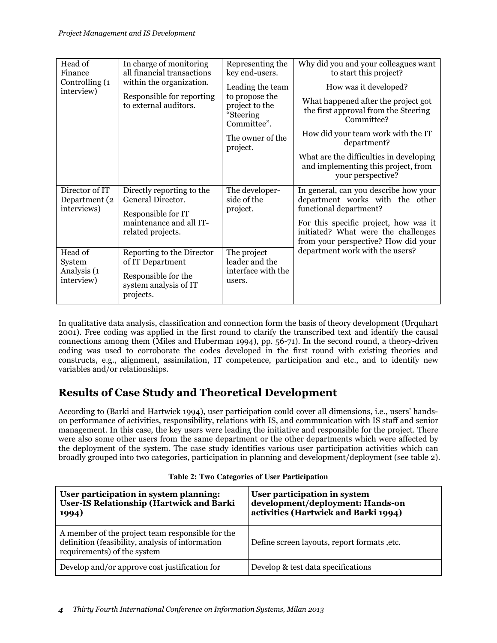| Head of<br>Finance                             | In charge of monitoring<br>all financial transactions              | Representing the<br>key end-users.                                               | Why did you and your colleagues want<br>to start this project?                                                      |  |  |  |
|------------------------------------------------|--------------------------------------------------------------------|----------------------------------------------------------------------------------|---------------------------------------------------------------------------------------------------------------------|--|--|--|
| Controlling (1<br>interview)                   | within the organization.                                           | Leading the team<br>to propose the<br>project to the<br>"Steering<br>Committee". | How was it developed?                                                                                               |  |  |  |
|                                                | Responsible for reporting<br>to external auditors.                 |                                                                                  | What happened after the project got<br>the first approval from the Steering<br>Committee?                           |  |  |  |
|                                                |                                                                    | The owner of the<br>project.                                                     | How did your team work with the IT<br>department?                                                                   |  |  |  |
|                                                |                                                                    |                                                                                  | What are the difficulties in developing<br>and implementing this project, from<br>your perspective?                 |  |  |  |
| Director of IT<br>Department (2<br>interviews) | Directly reporting to the<br>General Director.                     | The developer-<br>side of the                                                    | In general, can you describe how your<br>department works with the other<br>functional department?                  |  |  |  |
|                                                | Responsible for IT<br>maintenance and all IT-<br>related projects. | project.                                                                         | For this specific project, how was it<br>initiated? What were the challenges<br>from your perspective? How did your |  |  |  |
| Head of<br>System                              | Reporting to the Director<br>of IT Department                      | The project<br>leader and the                                                    | department work with the users?                                                                                     |  |  |  |
| Analysis (1<br>interview)                      | Responsible for the<br>system analysis of IT<br>projects.          | interface with the<br>users.                                                     |                                                                                                                     |  |  |  |

In qualitative data analysis, classification and connection form the basis of theory development (Urquhart 2001). Free coding was applied in the first round to clarify the transcribed text and identify the causal connections among them (Miles and Huberman 1994), pp. 56-71). In the second round, a theory-driven coding was used to corroborate the codes developed in the first round with existing theories and constructs, e.g., alignment, assimilation, IT competence, participation and etc., and to identify new variables and/or relationships.

## Results of Case Study and Theoretical Development

According to (Barki and Hartwick 1994), user participation could cover all dimensions, i.e., users' handson performance of activities, responsibility, relations with IS, and communication with IS staff and senior management. In this case, the key users were leading the initiative and responsible for the project. There were also some other users from the same department or the other departments which were affected by the deployment of the system. The case study identifies various user participation activities which can broadly grouped into two categories, participation in planning and development/deployment (see table 2).

| User participation in system planning:<br><b>User-IS Relationship (Hartwick and Barki</b><br>1994)                                  | User participation in system<br>development/deployment: Hands-on<br>activities (Hartwick and Barki 1994) |
|-------------------------------------------------------------------------------------------------------------------------------------|----------------------------------------------------------------------------------------------------------|
| A member of the project team responsible for the<br>definition (feasibility, analysis of information<br>requirements) of the system | Define screen layouts, report formats, etc.                                                              |
| Develop and/or approve cost justification for                                                                                       | Develop & test data specifications                                                                       |

|  |  |  | <b>Table 2: Two Categories of User Participation</b> |
|--|--|--|------------------------------------------------------|
|--|--|--|------------------------------------------------------|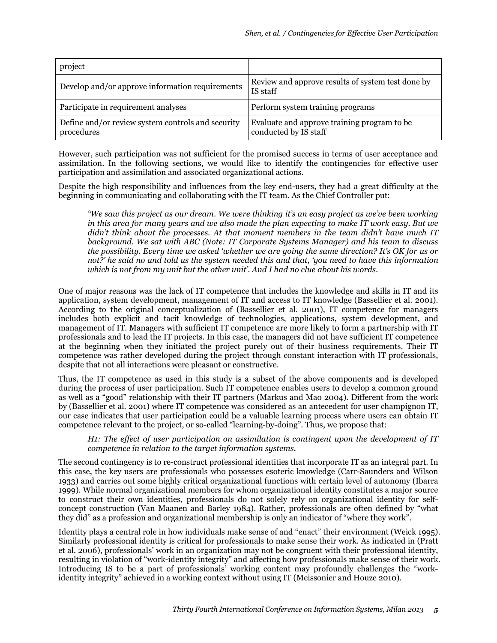| project                                                         |                                                                      |
|-----------------------------------------------------------------|----------------------------------------------------------------------|
| Develop and/or approve information requirements                 | Review and approve results of system test done by<br>IS staff        |
| Participate in requirement analyses                             | Perform system training programs                                     |
| Define and/or review system controls and security<br>procedures | Evaluate and approve training program to be<br>conducted by IS staff |

However, such participation was not sufficient for the promised success in terms of user acceptance and assimilation. In the following sections, we would like to identify the contingencies for effective user participation and assimilation and associated organizational actions.

Despite the high responsibility and influences from the key end-users, they had a great difficulty at the beginning in communicating and collaborating with the IT team. As the Chief Controller put:

"We saw this project as our dream. We were thinking it's an easy project as we've been working in this area for many years and we also made the plan expecting to make IT work easy. But we didn't think about the processes. At that moment members in the team didn't have much IT background. We sat with ABC (Note: IT Corporate Systems Manager) and his team to discuss the possibility. Every time we asked 'whether we are going the same direction? It's OK for us or not?' he said no and told us the system needed this and that, 'you need to have this information which is not from my unit but the other unit'. And I had no clue about his words.

One of major reasons was the lack of IT competence that includes the knowledge and skills in IT and its application, system development, management of IT and access to IT knowledge (Bassellier et al. 2001). According to the original conceptualization of (Bassellier et al. 2001), IT competence for managers includes both explicit and tacit knowledge of technologies, applications, system development, and management of IT. Managers with sufficient IT competence are more likely to form a partnership with IT professionals and to lead the IT projects. In this case, the managers did not have sufficient IT competence at the beginning when they initiated the project purely out of their business requirements. Their IT competence was rather developed during the project through constant interaction with IT professionals, despite that not all interactions were pleasant or constructive.

Thus, the IT competence as used in this study is a subset of the above components and is developed during the process of user participation. Such IT competence enables users to develop a common ground as well as a "good" relationship with their IT partners (Markus and Mao 2004). Different from the work by (Bassellier et al. 2001) where IT competence was considered as an antecedent for user champignon IT, our case indicates that user participation could be a valuable learning process where users can obtain IT competence relevant to the project, or so-called "learning-by-doing". Thus, we propose that:

#### H1: The effect of user participation on assimilation is contingent upon the development of IT competence in relation to the target information systems.

The second contingency is to re-construct professional identities that incorporate IT as an integral part. In this case, the key users are professionals who possesses esoteric knowledge (Carr-Saunders and Wilson 1933) and carries out some highly critical organizational functions with certain level of autonomy (Ibarra 1999). While normal organizational members for whom organizational identity constitutes a major source to construct their own identities, professionals do not solely rely on organizational identity for selfconcept construction (Van Maanen and Barley 1984). Rather, professionals are often defined by "what they did" as a profession and organizational membership is only an indicator of "where they work".

Identity plays a central role in how individuals make sense of and "enact" their environment (Weick 1995). Similarly professional identity is critical for professionals to make sense their work. As indicated in (Pratt et al. 2006), professionals' work in an organization may not be congruent with their professional identity, resulting in violation of "work-identity integrity" and affecting how professionals make sense of their work. Introducing IS to be a part of professionals' working content may profoundly challenges the "workidentity integrity" achieved in a working context without using IT (Meissonier and Houze 2010).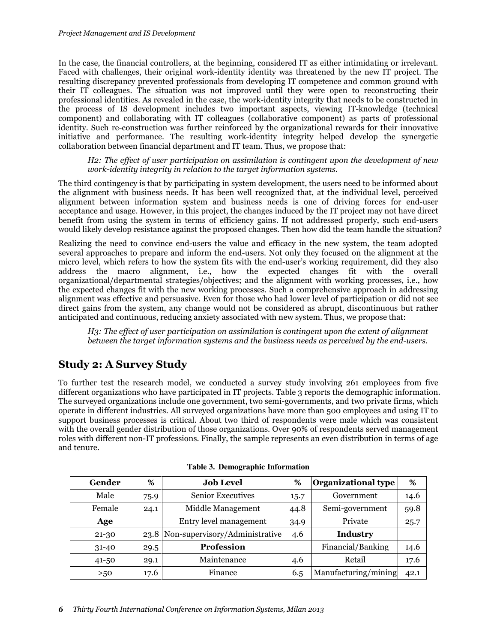In the case, the financial controllers, at the beginning, considered IT as either intimidating or irrelevant. Faced with challenges, their original work-identity identity was threatened by the new IT project. The resulting discrepancy prevented professionals from developing IT competence and common ground with their IT colleagues. The situation was not improved until they were open to reconstructing their professional identities. As revealed in the case, the work-identity integrity that needs to be constructed in the process of IS development includes two important aspects, viewing IT-knowledge (technical component) and collaborating with IT colleagues (collaborative component) as parts of professional identity. Such re-construction was further reinforced by the organizational rewards for their innovative initiative and performance. The resulting work-identity integrity helped develop the synergetic collaboration between financial department and IT team. Thus, we propose that:

H2: The effect of user participation on assimilation is contingent upon the development of new work-identity integrity in relation to the target information systems.

The third contingency is that by participating in system development, the users need to be informed about the alignment with business needs. It has been well recognized that, at the individual level, perceived alignment between information system and business needs is one of driving forces for end-user acceptance and usage. However, in this project, the changes induced by the IT project may not have direct benefit from using the system in terms of efficiency gains. If not addressed properly, such end-users would likely develop resistance against the proposed changes. Then how did the team handle the situation?

Realizing the need to convince end-users the value and efficacy in the new system, the team adopted several approaches to prepare and inform the end-users. Not only they focused on the alignment at the micro level, which refers to how the system fits with the end-user's working requirement, did they also address the macro alignment, i.e., how the expected changes fit with the overall organizational/departmental strategies/objectives; and the alignment with working processes, i.e., how the expected changes fit with the new working processes. Such a comprehensive approach in addressing alignment was effective and persuasive. Even for those who had lower level of participation or did not see direct gains from the system, any change would not be considered as abrupt, discontinuous but rather anticipated and continuous, reducing anxiety associated with new system. Thus, we propose that:

H3: The effect of user participation on assimilation is contingent upon the extent of alignment between the target information systems and the business needs as perceived by the end-users.

### Study 2: A Survey Study

To further test the research model, we conducted a survey study involving 261 employees from five different organizations who have participated in IT projects. Table 3 reports the demographic information. The surveyed organizations include one government, two semi-governments, and two private firms, which operate in different industries. All surveyed organizations have more than 500 employees and using IT to support business processes is critical. About two third of respondents were male which was consistent with the overall gender distribution of those organizations. Over 90% of respondents served management roles with different non-IT professions. Finally, the sample represents an even distribution in terms of age and tenure.

| Gender    | %    | <b>Job Level</b>                    | %    | Organizational type  | %    |
|-----------|------|-------------------------------------|------|----------------------|------|
| Male      | 75.9 | <b>Senior Executives</b>            | 15.7 | Government           | 14.6 |
| Female    | 24.1 | Middle Management                   | 44.8 | Semi-government      | 59.8 |
| Age       |      | Entry level management              | 34.9 | Private              | 25.7 |
| 21-30     |      | 23.8 Non-supervisory/Administrative | 4.6  | <b>Industry</b>      |      |
| $31 - 40$ | 29.5 | <b>Profession</b>                   |      | Financial/Banking    | 14.6 |
| $41 - 50$ | 29.1 | Maintenance                         | 4.6  | Retail               | 17.6 |
| >50       | 17.6 | Finance                             | 6.5  | Manufacturing/mining | 42.1 |

|  | Table 3. Demographic Information |  |
|--|----------------------------------|--|
|--|----------------------------------|--|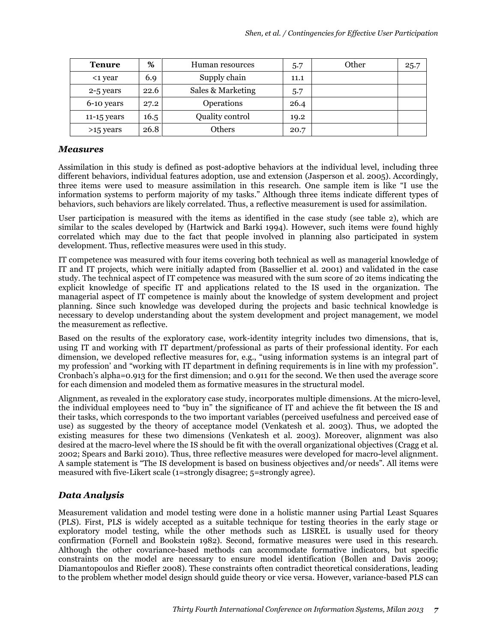| <b>Tenure</b> | %    | Human resources        | 5.7  | Other | 25.7 |
|---------------|------|------------------------|------|-------|------|
| <1 year       | 6.9  | Supply chain           | 11.1 |       |      |
| 2-5 years     | 22.6 | Sales & Marketing      | 5.7  |       |      |
| 6-10 years    | 27.2 | Operations             | 26.4 |       |      |
| $11-15$ years | 16.5 | <b>Quality control</b> | 19.2 |       |      |
| >15 years     | 26.8 | Others                 | 20.7 |       |      |

#### Measures

Assimilation in this study is defined as post-adoptive behaviors at the individual level, including three different behaviors, individual features adoption, use and extension (Jasperson et al. 2005). Accordingly, three items were used to measure assimilation in this research. One sample item is like "I use the information systems to perform majority of my tasks." Although three items indicate different types of behaviors, such behaviors are likely correlated. Thus, a reflective measurement is used for assimilation.

User participation is measured with the items as identified in the case study (see table 2), which are similar to the scales developed by (Hartwick and Barki 1994). However, such items were found highly correlated which may due to the fact that people involved in planning also participated in system development. Thus, reflective measures were used in this study.

IT competence was measured with four items covering both technical as well as managerial knowledge of IT and IT projects, which were initially adapted from (Bassellier et al. 2001) and validated in the case study. The technical aspect of IT competence was measured with the sum score of 20 items indicating the explicit knowledge of specific IT and applications related to the IS used in the organization. The managerial aspect of IT competence is mainly about the knowledge of system development and project planning. Since such knowledge was developed during the projects and basic technical knowledge is necessary to develop understanding about the system development and project management, we model the measurement as reflective.

Based on the results of the exploratory case, work-identity integrity includes two dimensions, that is, using IT and working with IT department/professional as parts of their professional identity. For each dimension, we developed reflective measures for, e.g., "using information systems is an integral part of my profession' and "working with IT department in defining requirements is in line with my profession". Cronbach's alpha=0.913 for the first dimension; and 0.911 for the second. We then used the average score for each dimension and modeled them as formative measures in the structural model.

Alignment, as revealed in the exploratory case study, incorporates multiple dimensions. At the micro-level, the individual employees need to "buy in" the significance of IT and achieve the fit between the IS and their tasks, which corresponds to the two important variables (perceived usefulness and perceived ease of use) as suggested by the theory of acceptance model (Venkatesh et al. 2003). Thus, we adopted the existing measures for these two dimensions (Venkatesh et al. 2003). Moreover, alignment was also desired at the macro-level where the IS should be fit with the overall organizational objectives (Cragg et al. 2002; Spears and Barki 2010). Thus, three reflective measures were developed for macro-level alignment. A sample statement is "The IS development is based on business objectives and/or needs". All items were measured with five-Likert scale (1=strongly disagree; 5=strongly agree).

### Data Analysis

Measurement validation and model testing were done in a holistic manner using Partial Least Squares (PLS). First, PLS is widely accepted as a suitable technique for testing theories in the early stage or exploratory model testing, while the other methods such as LISREL is usually used for theory confirmation (Fornell and Bookstein 1982). Second, formative measures were used in this research. Although the other covariance-based methods can accommodate formative indicators, but specific constraints on the model are necessary to ensure model identification (Bollen and Davis 2009; Diamantopoulos and Riefler 2008). These constraints often contradict theoretical considerations, leading to the problem whether model design should guide theory or vice versa. However, variance-based PLS can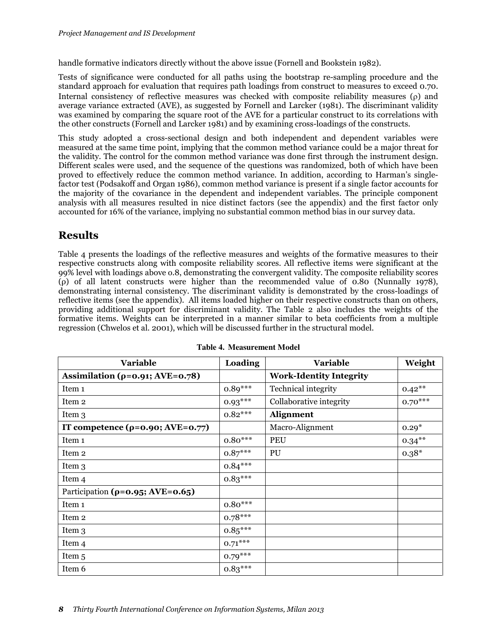handle formative indicators directly without the above issue (Fornell and Bookstein 1982).

Tests of significance were conducted for all paths using the bootstrap re-sampling procedure and the standard approach for evaluation that requires path loadings from construct to measures to exceed 0.70. Internal consistency of reflective measures was checked with composite reliability measures (ρ) and average variance extracted (AVE), as suggested by Fornell and Larcker (1981). The discriminant validity was examined by comparing the square root of the AVE for a particular construct to its correlations with the other constructs (Fornell and Larcker 1981) and by examining cross-loadings of the constructs.

This study adopted a cross-sectional design and both independent and dependent variables were measured at the same time point, implying that the common method variance could be a major threat for the validity. The control for the common method variance was done first through the instrument design. Different scales were used, and the sequence of the questions was randomized, both of which have been proved to effectively reduce the common method variance. In addition, according to Harman's singlefactor test (Podsakoff and Organ 1986), common method variance is present if a single factor accounts for the majority of the covariance in the dependent and independent variables. The principle component analysis with all measures resulted in nice distinct factors (see the appendix) and the first factor only accounted for 16% of the variance, implying no substantial common method bias in our survey data.

### **Results**

Table 4 presents the loadings of the reflective measures and weights of the formative measures to their respective constructs along with composite reliability scores. All reflective items were significant at the 99% level with loadings above o.8, demonstrating the convergent validity. The composite reliability scores (ρ) of all latent constructs were higher than the recommended value of 0.80 (Nunnally 1978), demonstrating internal consistency. The discriminant validity is demonstrated by the cross-loadings of reflective items (see the appendix). All items loaded higher on their respective constructs than on others, providing additional support for discriminant validity. The Table 2 also includes the weights of the formative items. Weights can be interpreted in a manner similar to beta coefficients from a multiple regression (Chwelos et al. 2001), which will be discussed further in the structural model.

| <b>Variable</b>                           | Loading   | Variable                       | Weight    |
|-------------------------------------------|-----------|--------------------------------|-----------|
| Assimilation ( $\rho$ =0.91; AVE=0.78)    |           | <b>Work-Identity Integrity</b> |           |
| Item <sub>1</sub>                         | $0.89***$ | Technical integrity            | $0.42***$ |
| Item 2                                    | $0.93***$ | Collaborative integrity        | $0.70***$ |
| Item 3                                    | $0.82***$ | Alignment                      |           |
| IT competence $(\rho = 0.90; AVE = 0.77)$ |           | Macro-Alignment                | $0.29*$   |
| Item 1                                    | $0.80***$ | PEU                            | $0.34***$ |
| Item 2                                    | $0.87***$ | PU                             | $0.38*$   |
| Item 3                                    | $0.84***$ |                                |           |
| Item 4                                    | $0.83***$ |                                |           |
| Participation ( $\rho = 0.95$ ; AVE=0.65) |           |                                |           |
| Item <sub>1</sub>                         | $0.80***$ |                                |           |
| Item <sub>2</sub>                         | $0.78***$ |                                |           |
| Item 3                                    | $0.85***$ |                                |           |
| Item <sub>4</sub>                         | $0.71***$ |                                |           |
| Item 5                                    | $0.79***$ |                                |           |
| Item 6                                    | $0.83***$ |                                |           |

**Table 4. Measurement Model**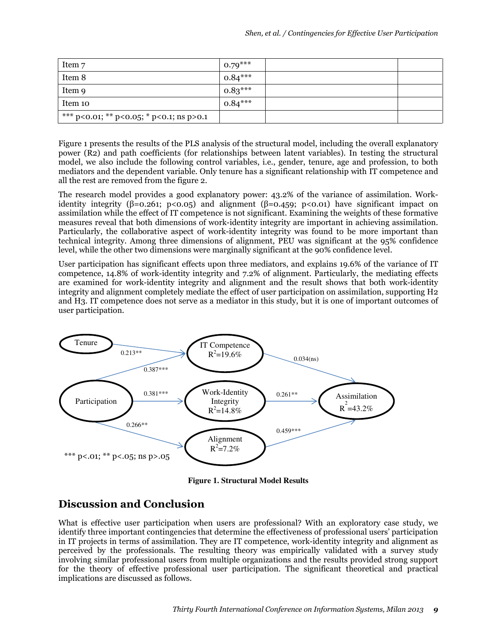| Item 7                                   | $0.79***$ |  |
|------------------------------------------|-----------|--|
| Item 8                                   | $0.84***$ |  |
| Item 9                                   | $0.83***$ |  |
| Item 10                                  | $0.84***$ |  |
| *** p<0.01; ** p<0.05; * p<0.1; ns p>0.1 |           |  |

Figure 1 presents the results of the PLS analysis of the structural model, including the overall explanatory power (R2) and path coefficients (for relationships between latent variables). In testing the structural model, we also include the following control variables, i.e., gender, tenure, age and profession, to both mediators and the dependent variable. Only tenure has a significant relationship with IT competence and all the rest are removed from the figure 2.

The research model provides a good explanatory power: 43.2% of the variance of assimilation. Workidentity integrity ( $\beta$ =0.261; p<0.05) and alignment ( $\beta$ =0.459; p<0.01) have significant impact on assimilation while the effect of IT competence is not significant. Examining the weights of these formative measures reveal that both dimensions of work-identity integrity are important in achieving assimilation. Particularly, the collaborative aspect of work-identity integrity was found to be more important than technical integrity. Among three dimensions of alignment, PEU was significant at the 95% confidence level, while the other two dimensions were marginally significant at the 90% confidence level.

User participation has significant effects upon three mediators, and explains 19.6% of the variance of IT competence, 14.8% of work-identity integrity and 7.2% of alignment. Particularly, the mediating effects are examined for work-identity integrity and alignment and the result shows that both work-identity integrity and alignment completely mediate the effect of user participation on assimilation, supporting H2 and H3. IT competence does not serve as a mediator in this study, but it is one of important outcomes of user participation.



**Figure 1. Structural Model Results** 

### Discussion and Conclusion

What is effective user participation when users are professional? With an exploratory case study, we identify three important contingencies that determine the effectiveness of professional users' participation in IT projects in terms of assimilation. They are IT competence, work-identity integrity and alignment as perceived by the professionals. The resulting theory was empirically validated with a survey study involving similar professional users from multiple organizations and the results provided strong support for the theory of effective professional user participation. The significant theoretical and practical implications are discussed as follows.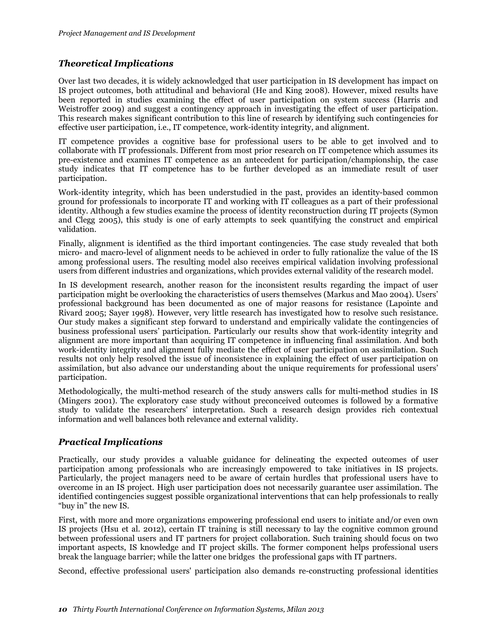### Theoretical Implications

Over last two decades, it is widely acknowledged that user participation in IS development has impact on IS project outcomes, both attitudinal and behavioral (He and King 2008). However, mixed results have been reported in studies examining the effect of user participation on system success (Harris and Weistroffer 2009) and suggest a contingency approach in investigating the effect of user participation. This research makes significant contribution to this line of research by identifying such contingencies for effective user participation, i.e., IT competence, work-identity integrity, and alignment.

IT competence provides a cognitive base for professional users to be able to get involved and to collaborate with IT professionals. Different from most prior research on IT competence which assumes its pre-existence and examines IT competence as an antecedent for participation/championship, the case study indicates that IT competence has to be further developed as an immediate result of user participation.

Work-identity integrity, which has been understudied in the past, provides an identity-based common ground for professionals to incorporate IT and working with IT colleagues as a part of their professional identity. Although a few studies examine the process of identity reconstruction during IT projects (Symon and Clegg 2005), this study is one of early attempts to seek quantifying the construct and empirical validation.

Finally, alignment is identified as the third important contingencies. The case study revealed that both micro- and macro-level of alignment needs to be achieved in order to fully rationalize the value of the IS among professional users. The resulting model also receives empirical validation involving professional users from different industries and organizations, which provides external validity of the research model.

In IS development research, another reason for the inconsistent results regarding the impact of user participation might be overlooking the characteristics of users themselves (Markus and Mao 2004). Users' professional background has been documented as one of major reasons for resistance (Lapointe and Rivard 2005; Sayer 1998). However, very little research has investigated how to resolve such resistance. Our study makes a significant step forward to understand and empirically validate the contingencies of business professional users' participation. Particularly our results show that work-identity integrity and alignment are more important than acquiring IT competence in influencing final assimilation. And both work-identity integrity and alignment fully mediate the effect of user participation on assimilation. Such results not only help resolved the issue of inconsistence in explaining the effect of user participation on assimilation, but also advance our understanding about the unique requirements for professional users' participation.

Methodologically, the multi-method research of the study answers calls for multi-method studies in IS (Mingers 2001). The exploratory case study without preconceived outcomes is followed by a formative study to validate the researchers' interpretation. Such a research design provides rich contextual information and well balances both relevance and external validity.

### Practical Implications

Practically, our study provides a valuable guidance for delineating the expected outcomes of user participation among professionals who are increasingly empowered to take initiatives in IS projects. Particularly, the project managers need to be aware of certain hurdles that professional users have to overcome in an IS project. High user participation does not necessarily guarantee user assimilation. The identified contingencies suggest possible organizational interventions that can help professionals to really "buy in" the new IS.

First, with more and more organizations empowering professional end users to initiate and/or even own IS projects (Hsu et al. 2012), certain IT training is still necessary to lay the cognitive common ground between professional users and IT partners for project collaboration. Such training should focus on two important aspects, IS knowledge and IT project skills. The former component helps professional users break the language barrier; while the latter one bridges the professional gaps with IT partners.

Second, effective professional users' participation also demands re-constructing professional identities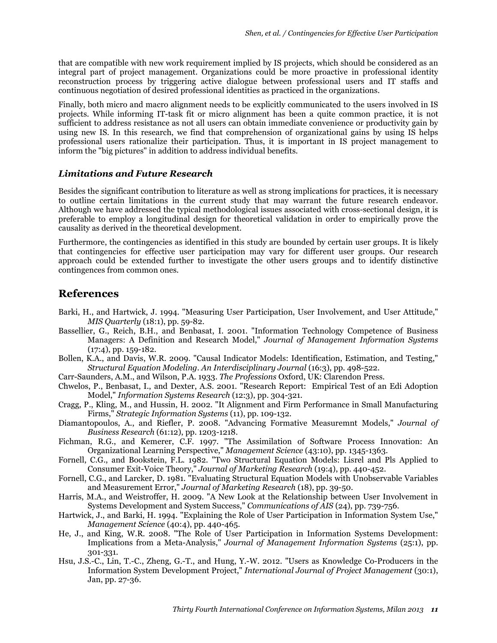that are compatible with new work requirement implied by IS projects, which should be considered as an integral part of project management. Organizations could be more proactive in professional identity reconstruction process by triggering active dialogue between professional users and IT staffs and continuous negotiation of desired professional identities as practiced in the organizations.

Finally, both micro and macro alignment needs to be explicitly communicated to the users involved in IS projects. While informing IT-task fit or micro alignment has been a quite common practice, it is not sufficient to address resistance as not all users can obtain immediate convenience or productivity gain by using new IS. In this research, we find that comprehension of organizational gains by using IS helps professional users rationalize their participation. Thus, it is important in IS project management to inform the "big pictures" in addition to address individual benefits.

#### Limitations and Future Research

Besides the significant contribution to literature as well as strong implications for practices, it is necessary to outline certain limitations in the current study that may warrant the future research endeavor. Although we have addressed the typical methodological issues associated with cross-sectional design, it is preferable to employ a longitudinal design for theoretical validation in order to empirically prove the causality as derived in the theoretical development.

Furthermore, the contingencies as identified in this study are bounded by certain user groups. It is likely that contingencies for effective user participation may vary for different user groups. Our research approach could be extended further to investigate the other users groups and to identify distinctive contingences from common ones.

### References

- Barki, H., and Hartwick, J. 1994. "Measuring User Participation, User Involvement, and User Attitude," MIS Quarterly (18:1), pp. 59-82.
- Bassellier, G., Reich, B.H., and Benbasat, I. 2001. "Information Technology Competence of Business Managers: A Definition and Research Model," Journal of Management Information Systems (17:4), pp. 159-182.
- Bollen, K.A., and Davis, W.R. 2009. "Causal Indicator Models: Identification, Estimation, and Testing," Structural Equation Modeling. An Interdisciplinary Journal (16:3), pp. 498-522.
- Carr-Saunders, A.M., and Wilson, P.A. 1933. The Professions Oxford, UK: Clarendon Press.
- Chwelos, P., Benbasat, I., and Dexter, A.S. 2001. "Research Report: Empirical Test of an Edi Adoption Model," Information Systems Research (12:3), pp. 304-321.
- Cragg, P., Kling, M., and Hussin, H. 2002. "It Alignment and Firm Performance in Small Manufacturing Firms," Strategic Information Systems (11), pp. 109-132.
- Diamantopoulos, A., and Riefler, P. 2008. "Advancing Formative Measuremnt Models," Journal of Business Research (61:12), pp. 1203-1218.
- Fichman, R.G., and Kemerer, C.F. 1997. "The Assimilation of Software Process Innovation: An Organizational Learning Perspective," Management Science (43:10), pp. 1345-1363.
- Fornell, C.G., and Bookstein, F.L. 1982. "Two Structural Equation Models: Lisrel and Pls Applied to Consumer Exit-Voice Theory," Journal of Marketing Research (19:4), pp. 440-452.
- Fornell, C.G., and Larcker, D. 1981. "Evaluating Structural Equation Models with Unobservable Variables and Measurement Error," Journal of Marketing Research (18), pp. 39-50.
- Harris, M.A., and Weistroffer, H. 2009. "A New Look at the Relationship between User Involvement in Systems Development and System Success," Communications of AIS (24), pp. 739-756.
- Hartwick, J., and Barki, H. 1994. "Explaining the Role of User Participation in Information System Use," Management Science (40:4), pp. 440-465.
- He, J., and King, W.R. 2008. "The Role of User Participation in Information Systems Development: Implications from a Meta-Analysis," Journal of Management Information Systems (25:1), pp. 301-331.
- Hsu, J.S.-C., Lin, T.-C., Zheng, G.-T., and Hung, Y.-W. 2012. "Users as Knowledge Co-Producers in the Information System Development Project," International Journal of Project Management (30:1), Jan, pp. 27-36.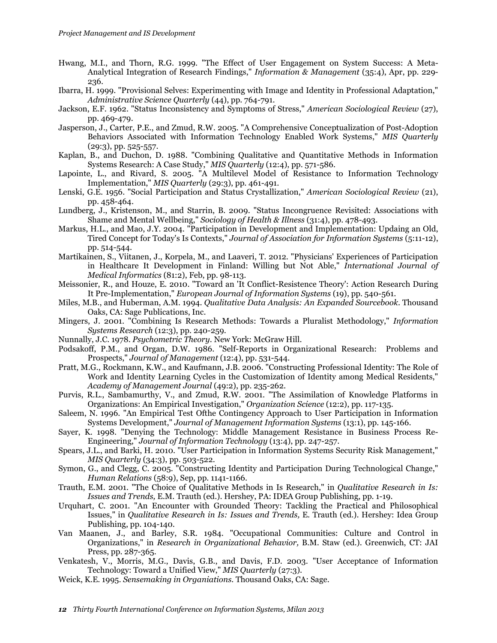- Hwang, M.I., and Thorn, R.G. 1999. "The Effect of User Engagement on System Success: A Meta-Analytical Integration of Research Findings," Information & Management (35:4), Apr, pp. 229- 236.
- Ibarra, H. 1999. "Provisional Selves: Experimenting with Image and Identity in Professional Adaptation," Administrative Science Quarterly (44), pp. 764-791.
- Jackson, E.F. 1962. "Status Inconsistency and Symptoms of Stress," American Sociological Review (27), pp. 469-479.
- Jasperson, J., Carter, P.E., and Zmud, R.W. 2005. "A Comprehensive Conceptualization of Post-Adoption Behaviors Associated with Information Technology Enabled Work Systems," MIS Quarterly (29:3), pp. 525-557.
- Kaplan, B., and Duchon, D. 1988. "Combining Qualitative and Quantitative Methods in Information Systems Research: A Case Study," MIS Quarterly (12:4), pp. 571-586.
- Lapointe, L., and Rivard, S. 2005. "A Multilevel Model of Resistance to Information Technology Implementation," MIS Quarterly (29:3), pp. 461-491.
- Lenski, G.E. 1956. "Social Participation and Status Crystallization," American Sociological Review (21), pp. 458-464.
- Lundberg, J., Kristenson, M., and Starrin, B. 2009. "Status Incongruence Revisited: Associations with Shame and Mental Wellbeing," Sociology of Health & Illness (31:4), pp. 478-493.
- Markus, H.L., and Mao, J.Y. 2004. "Participation in Development and Implementation: Updaing an Old, Tired Concept for Today's Is Contexts," Journal of Association for Information Systems (5:11-12), pp. 514-544.
- Martikainen, S., Viitanen, J., Korpela, M., and Laaveri, T. 2012. "Physicians' Experiences of Participation in Healthcare It Development in Finland: Willing but Not Able," International Journal of Medical Informatics (81:2), Feb, pp. 98-113.
- Meissonier, R., and Houze, E. 2010. "Toward an 'It Conflict-Resistence Theory': Action Research During It Pre-Implementation," European Journal of Information Systems (19), pp. 540-561.
- Miles, M.B., and Huberman, A.M. 1994. Qualitative Data Analysis: An Expanded Sourcebook. Thousand Oaks, CA: Sage Publications, Inc.
- Mingers, J. 2001. "Combining Is Research Methods: Towards a Pluralist Methodology," Information Systems Research (12:3), pp. 240-259.
- Nunnally, J.C. 1978. Psychometric Theory. New York: McGraw Hill.
- Podsakoff, P.M., and Organ, D.W. 1986. "Self-Reports in Organizational Research: Problems and Prospects," Journal of Management (12:4), pp. 531-544.
- Pratt, M.G., Rockmann, K.W., and Kaufmann, J.B. 2006. "Constructing Professional Identity: The Role of Work and Identity Learning Cycles in the Customization of Identity among Medical Residents," Academy of Management Journal (49:2), pp. 235-262.
- Purvis, R.L., Sambamurthy, V., and Zmud, R.W. 2001. "The Assimilation of Knowledge Platforms in Organizations: An Empirical Investigation," Organization Science (12:2), pp. 117-135.
- Saleem, N. 1996. "An Empirical Test Ofthe Contingency Approach to User Participation in Information Systems Development," Journal of Management Information Systems (13:1), pp. 145-166.
- Sayer, K. 1998. "Denying the Technology: Middle Management Resistance in Business Process Re-Engineering," Journal of Information Technology (13:4), pp. 247-257.
- Spears, J.L., and Barki, H. 2010. "User Participation in Information Systems Security Risk Management," MIS Quarterly (34:3), pp. 503-522.
- Symon, G., and Clegg, C. 2005. "Constructing Identity and Participation During Technological Change," Human Relations (58:9), Sep, pp. 1141-1166.
- Trauth, E.M. 2001. "The Choice of Qualitative Methods in Is Research," in Qualitative Research in Is: Issues and Trends, E.M. Trauth (ed.). Hershey, PA: IDEA Group Publishing, pp. 1-19.
- Urquhart, C. 2001. "An Encounter with Grounded Theory: Tackling the Practical and Philosophical Issues," in Qualitative Research in Is: Issues and Trends, E. Trauth (ed.). Hershey: Idea Group Publishing, pp. 104-140.
- Van Maanen, J., and Barley, S.R. 1984. "Occupational Communities: Culture and Control in Organizations," in Research in Organizational Behavior, B.M. Staw (ed.). Greenwich, CT: JAI Press, pp. 287-365.
- Venkatesh, V., Morris, M.G., Davis, G.B., and Davis, F.D. 2003. "User Acceptance of Information Technology: Toward a Unified View," MIS Quarterly (27:3).
- Weick, K.E. 1995. Sensemaking in Organiations. Thousand Oaks, CA: Sage.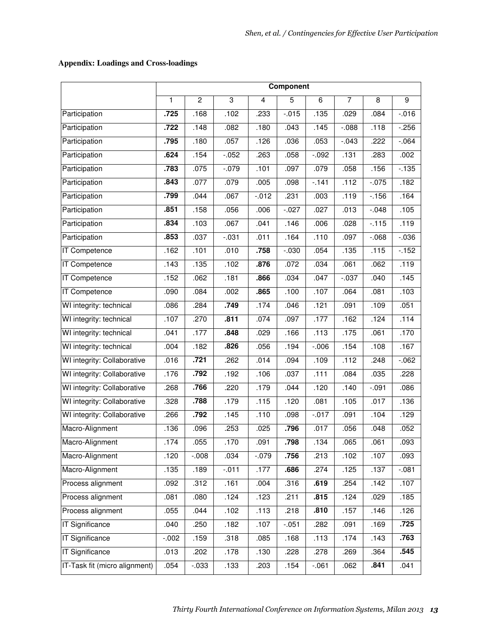### **Appendix: Loadings and Cross-loadings**

|                               | Component |                |          |                         |          |          |          |          |                |
|-------------------------------|-----------|----------------|----------|-------------------------|----------|----------|----------|----------|----------------|
|                               | 1         | $\overline{c}$ | 3        | $\overline{\mathbf{4}}$ | 5        | 6        | 7        | 8        | $\overline{9}$ |
| Participation                 | .725      | .168           | .102     | .233                    | $-0.015$ | .135     | .029     | .084     | $-0.016$       |
| Participation                 | .722      | .148           | .082     | .180                    | .043     | .145     | $-0.088$ | .118     | $-256$         |
| Participation                 | .795      | .180           | .057     | .126                    | .036     | .053     | $-.043$  | .222     | $-0.064$       |
| Participation                 | .624      | .154           | $-0.052$ | .263                    | .058     | $-0.092$ | .131     | .283     | .002           |
| Participation                 | .783      | .075           | $-.079$  | .101                    | .097     | .079     | .058     | .156     | $-135$         |
| Participation                 | .843      | .077           | .079     | .005                    | .098     | $-141$   | .112     | $-0.075$ | .182           |
| Participation                 | .799      | .044           | .067     | $-0.012$                | .231     | .003     | .119     | $-156$   | .164           |
| Participation                 | .851      | .158           | .056     | .006                    | $-0.27$  | .027     | .013     | $-0.048$ | .105           |
| Participation                 | .834      | .103           | .067     | .041                    | .146     | .006     | .028     | $-115$   | .119           |
| Participation                 | .853      | .037           | $-0.031$ | .011                    | .164     | .110     | .097     | $-068$   | $-0.036$       |
| IT Competence                 | .162      | .101           | .010     | .758                    | $-0.030$ | .054     | .135     | .115     | $-152$         |
| IT Competence                 | .143      | .135           | .102     | .876                    | .072     | .034     | .061     | .062     | .119           |
| <b>IT Competence</b>          | .152      | .062           | .181     | .866                    | .034     | .047     | $-0.037$ | .040     | .145           |
| <b>IT Competence</b>          | .090      | .084           | .002     | .865                    | .100     | .107     | .064     | .081     | .103           |
| WI integrity: technical       | .086      | .284           | .749     | .174                    | .046     | .121     | .091     | .109     | .051           |
| WI integrity: technical       | .107      | .270           | .811     | .074                    | .097     | .177     | .162     | .124     | .114           |
| WI integrity: technical       | .041      | .177           | .848     | .029                    | .166     | .113     | .175     | .061     | .170           |
| WI integrity: technical       | .004      | .182           | .826     | .056                    | .194     | $-0.06$  | .154     | .108     | .167           |
| WI integrity: Collaborative   | .016      | .721           | .262     | .014                    | .094     | .109     | .112     | .248     | $-062$         |
| WI integrity: Collaborative   | .176      | .792           | .192     | .106                    | .037     | .111     | .084     | .035     | .228           |
| WI integrity: Collaborative   | .268      | .766           | .220     | .179                    | .044     | .120     | .140     | $-0.091$ | .086           |
| WI integrity: Collaborative   | .328      | .788           | .179     | .115                    | .120     | .081     | .105     | .017     | .136           |
| WI integrity: Collaborative   | .266      | .792           | .145     | .110                    | .098     | $-.017$  | .091     | .104     | .129           |
| Macro-Alignment               | .136      | .096           | .253     | .025                    | .796     | .017     | .056     | .048     | .052           |
| Macro-Alignment               | .174      | .055           | .170     | .091                    | .798     | .134     | .065     | .061     | .093           |
| Macro-Alignment               | .120      | $-0.08$        | .034     | $-0.79$                 | .756     | .213     | .102     | .107     | .093           |
| Macro-Alignment               | .135      | .189           | $-0.11$  | .177                    | .686     | .274     | .125     | .137     | $-0.081$       |
| Process alignment             | .092      | .312           | .161     | .004                    | .316     | .619     | .254     | .142     | .107           |
| Process alignment             | .081      | .080           | .124     | .123                    | .211     | .815     | .124     | .029     | .185           |
| Process alignment             | .055      | .044           | .102     | .113                    | .218     | .810     | .157     | .146     | .126           |
| <b>IT Significance</b>        | .040      | .250           | .182     | .107                    | $-051$   | .282     | .091     | .169     | .725           |
| <b>IT Significance</b>        | $-0.002$  | .159           | .318     | .085                    | .168     | .113     | .174     | .143     | .763           |
| <b>IT Significance</b>        | .013      | .202           | .178     | .130                    | .228     | .278     | .269     | .364     | .545           |
| IT-Task fit (micro alignment) | .054      | $-.033$        | .133     | .203                    | .154     | $-061$   | .062     | .841     | .041           |